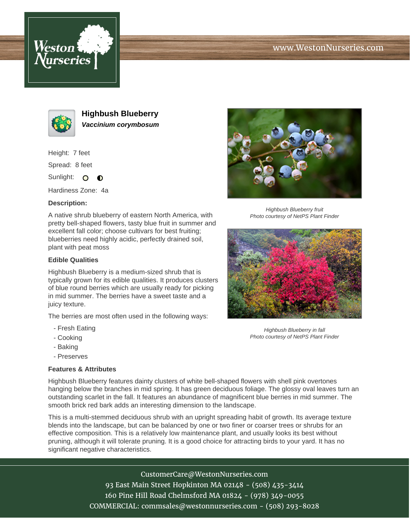





**Highbush Blueberry Vaccinium corymbosum**

Height: 7 feet

Spread: 8 feet

Sunlight: O  $\bullet$ 

Hardiness Zone: 4a

## **Description:**

A native shrub blueberry of eastern North America, with pretty bell-shaped flowers, tasty blue fruit in summer and excellent fall color; choose cultivars for best fruiting; blueberries need highly acidic, perfectly drained soil, plant with peat moss

## **Edible Qualities**

Highbush Blueberry is a medium-sized shrub that is typically grown for its edible qualities. It produces clusters of blue round berries which are usually ready for picking in mid summer. The berries have a sweet taste and a juicy texture.

The berries are most often used in the following ways:

- Fresh Eating
- Cooking
- Baking
- Preserves

## **Features & Attributes**

Highbush Blueberry fruit Photo courtesy of NetPS Plant Finder



Highbush Blueberry in fall Photo courtesy of NetPS Plant Finder

Highbush Blueberry features dainty clusters of white bell-shaped flowers with shell pink overtones hanging below the branches in mid spring. It has green deciduous foliage. The glossy oval leaves turn an outstanding scarlet in the fall. It features an abundance of magnificent blue berries in mid summer. The smooth brick red bark adds an interesting dimension to the landscape.

This is a multi-stemmed deciduous shrub with an upright spreading habit of growth. Its average texture blends into the landscape, but can be balanced by one or two finer or coarser trees or shrubs for an effective composition. This is a relatively low maintenance plant, and usually looks its best without pruning, although it will tolerate pruning. It is a good choice for attracting birds to your yard. It has no significant negative characteristics.

> CustomerCare@WestonNurseries.com 93 East Main Street Hopkinton MA 02148 - (508) 435-3414 160 Pine Hill Road Chelmsford MA 01824 - (978) 349-0055 COMMERCIAL: commsales@westonnurseries.com - (508) 293-8028